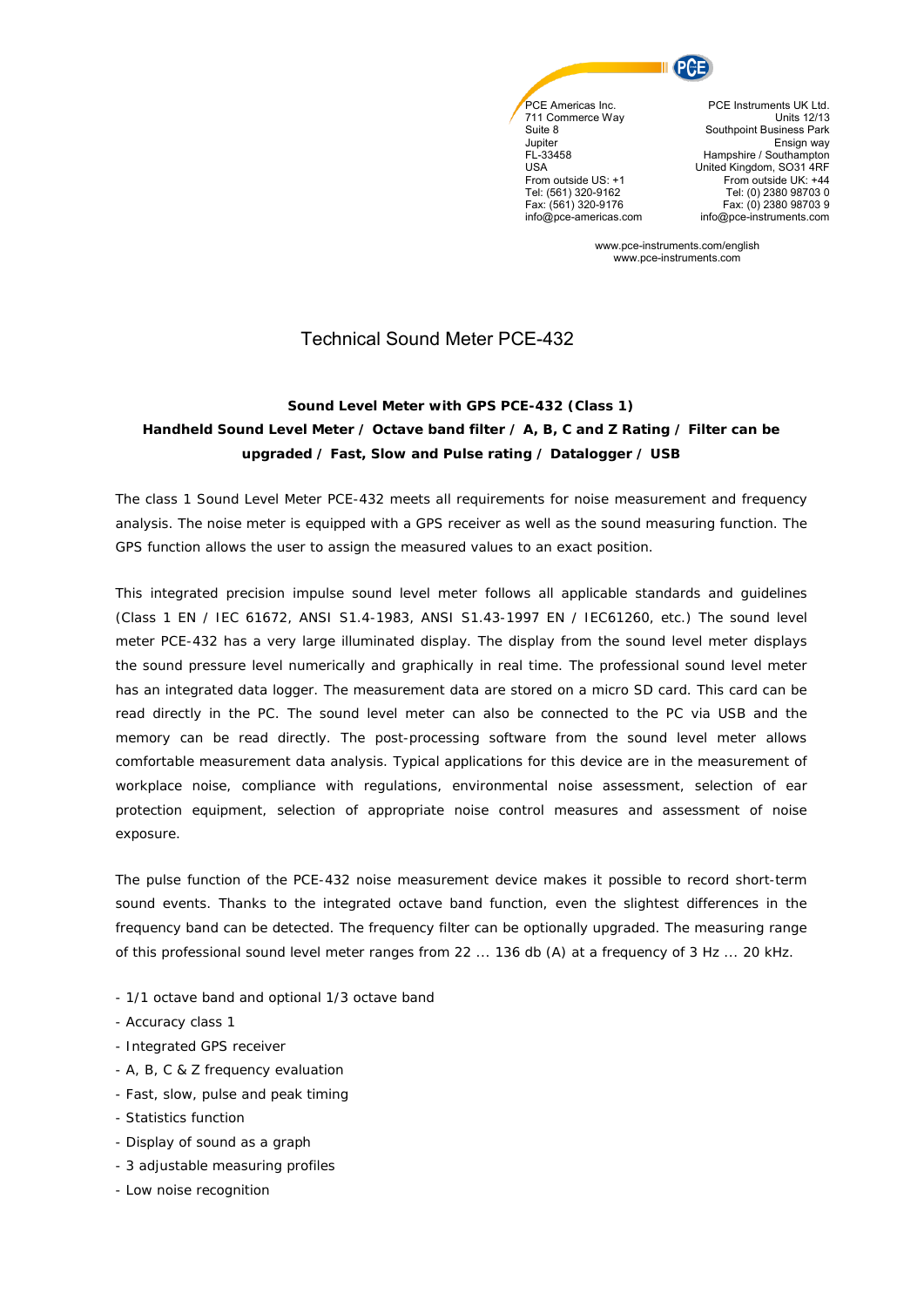

**Jupiter** FL-33458  $USA$ From outside US: +1 Tel: (561) 320-9162 Fax: (561) 320-9176 info@pce-americas.com

PCE Instruments UK Ltd. Units 12/13 Southpoint Business Park Ensign way Hampshire / Southampton United Kingdom, SO31 4RF From outside UK: +44 Tel: (0) 2380 98703 0 Fax: (0) 2380 98703 9 info@pce-instruments.com

www.pce-instruments.com/english www.pce-instruments.com

## Technical Sound Meter PCE-432

## **Sound Level Meter with GPS PCE-432 (Class 1) Handheld Sound Level Meter / Octave band filter / A, B, C and Z Rating / Filter can be upgraded / Fast, Slow and Pulse rating / Datalogger / USB**

The class 1 Sound Level Meter PCE-432 meets all requirements for noise measurement and frequency analysis. The noise meter is equipped with a GPS receiver as well as the sound measuring function. The GPS function allows the user to assign the measured values to an exact position.

This integrated precision impulse sound level meter follows all applicable standards and guidelines (Class 1 EN / IEC 61672, ANSI S1.4-1983, ANSI S1.43-1997 EN / IEC61260, etc.) The sound level meter PCE-432 has a very large illuminated display. The display from the sound level meter displays the sound pressure level numerically and graphically in real time. The professional sound level meter has an integrated data logger. The measurement data are stored on a micro SD card. This card can be read directly in the PC. The sound level meter can also be connected to the PC via USB and the memory can be read directly. The post-processing software from the sound level meter allows comfortable measurement data analysis. Typical applications for this device are in the measurement of workplace noise, compliance with regulations, environmental noise assessment, selection of ear protection equipment, selection of appropriate noise control measures and assessment of noise exposure.

The pulse function of the PCE-432 noise measurement device makes it possible to record short-term sound events. Thanks to the integrated octave band function, even the slightest differences in the frequency band can be detected. The frequency filter can be optionally upgraded. The measuring range of this professional sound level meter ranges from 22 ... 136 db (A) at a frequency of 3 Hz ... 20 kHz.

- 1/1 octave band and optional 1/3 octave band
- Accuracy class 1
- Integrated GPS receiver
- A, B, C & Z frequency evaluation
- Fast, slow, pulse and peak timing
- Statistics function
- Display of sound as a graph
- 3 adjustable measuring profiles
- Low noise recognition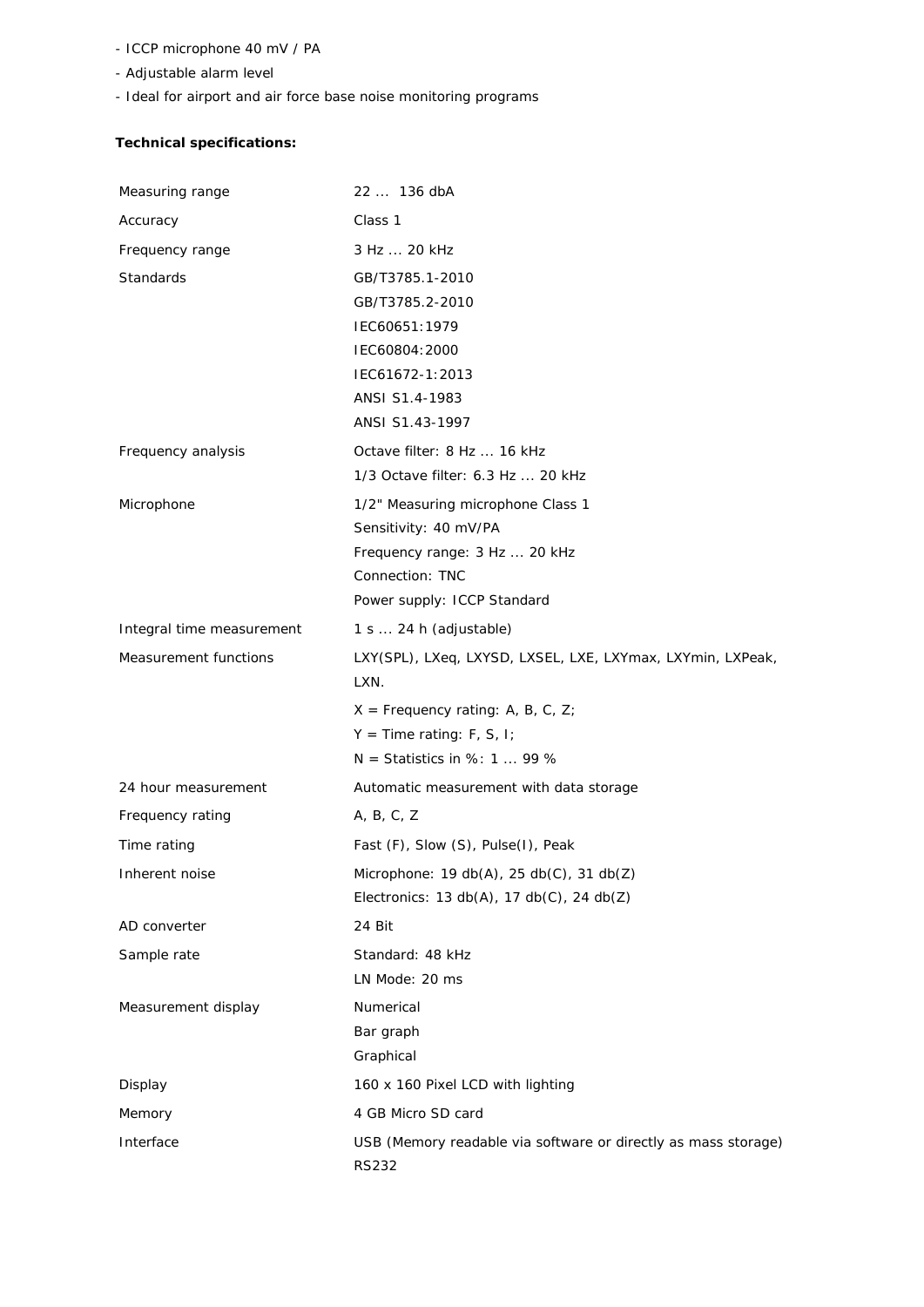- ICCP microphone 40 mV / PA
- Adjustable alarm level
- Ideal for airport and air force base noise monitoring programs

## **Technical specifications:**

| Measuring range           | 22  136 dbA                                                                                                                                   |
|---------------------------|-----------------------------------------------------------------------------------------------------------------------------------------------|
| Accuracy                  | Class 1                                                                                                                                       |
| Frequency range           | 3 Hz  20 kHz                                                                                                                                  |
| <b>Standards</b>          | GB/T3785.1-2010<br>GB/T3785.2-2010<br>IEC60651:1979<br>IEC60804:2000<br>IEC61672-1:2013<br>ANSI S1.4-1983<br>ANSI S1.43-1997                  |
| Frequency analysis        | Octave filter: 8 Hz  16 kHz<br>1/3 Octave filter: 6.3 Hz  20 kHz                                                                              |
| Microphone                | 1/2" Measuring microphone Class 1<br>Sensitivity: 40 mV/PA<br>Frequency range: 3 Hz  20 kHz<br>Connection: TNC<br>Power supply: ICCP Standard |
| Integral time measurement | $1 s \dots 24 h$ (adjustable)                                                                                                                 |
| Measurement functions     | LXY(SPL), LXeq, LXYSD, LXSEL, LXE, LXYmax, LXYmin, LXPeak,<br>LXN.                                                                            |
|                           | $X =$ Frequency rating: A, B, C, Z;<br>$Y = Time rating: F, S, I;$<br>$N =$ Statistics in %: 1  99 %                                          |
| 24 hour measurement       | Automatic measurement with data storage                                                                                                       |
| Frequency rating          | A, B, C, Z                                                                                                                                    |
| Time rating               | Fast (F), Slow (S), Pulse(I), Peak                                                                                                            |
| Inherent noise            | Microphone: $19 db(A)$ , $25 db(C)$ , $31 db(Z)$<br>Electronics: $13 db(A)$ , $17 db(C)$ , $24 db(Z)$                                         |
| AD converter              | 24 Bit                                                                                                                                        |
| Sample rate               | Standard: 48 kHz<br>LN Mode: 20 ms                                                                                                            |
| Measurement display       | Numerical<br>Bar graph<br>Graphical                                                                                                           |
| Display                   | 160 x 160 Pixel LCD with lighting                                                                                                             |
| Memory                    | 4 GB Micro SD card                                                                                                                            |
| Interface                 | USB (Memory readable via software or directly as mass storage)<br>RS232                                                                       |